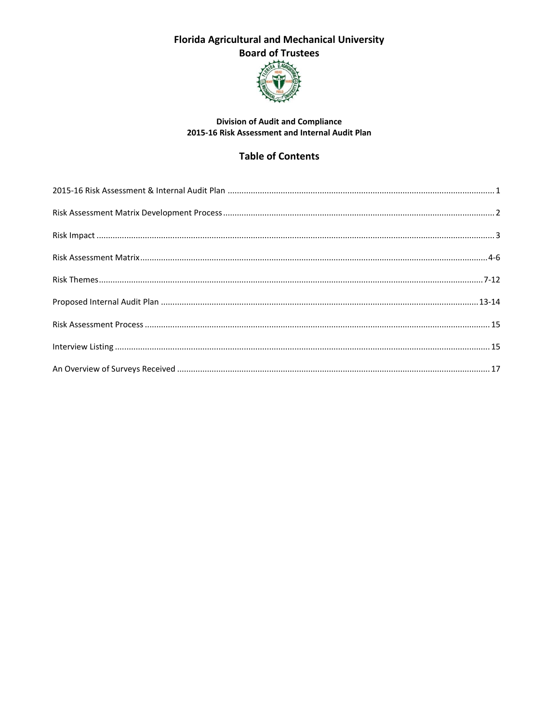

#### **Division of Audit and Compliance** 2015-16 Risk Assessment and Internal Audit Plan

## **Table of Contents**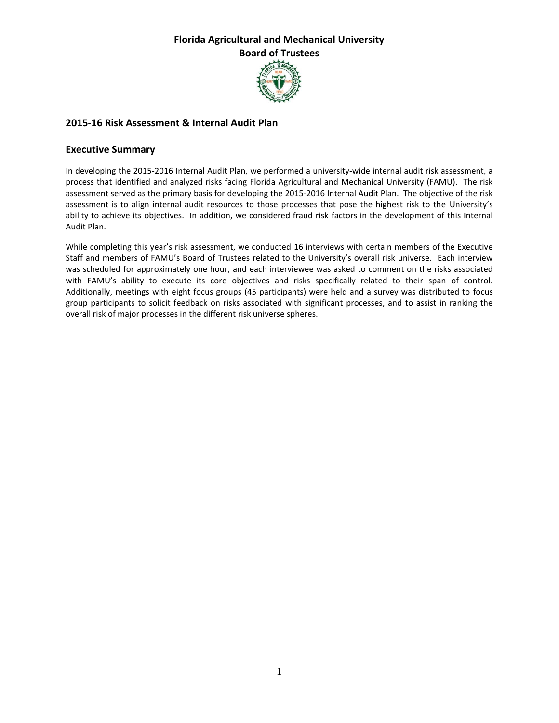

### **2015-16 Risk Assessment & Internal Audit Plan**

### **Executive Summary**

In developing the 2015-2016 Internal Audit Plan, we performed a university-wide internal audit risk assessment, a process that identified and analyzed risks facing Florida Agricultural and Mechanical University (FAMU). The risk assessment served as the primary basis for developing the 2015-2016 Internal Audit Plan. The objective of the risk assessment is to align internal audit resources to those processes that pose the highest risk to the University's ability to achieve its objectives. In addition, we considered fraud risk factors in the development of this Internal Audit Plan.

While completing this year's risk assessment, we conducted 16 interviews with certain members of the Executive Staff and members of FAMU's Board of Trustees related to the University's overall risk universe. Each interview was scheduled for approximately one hour, and each interviewee was asked to comment on the risks associated with FAMU's ability to execute its core objectives and risks specifically related to their span of control. Additionally, meetings with eight focus groups (45 participants) were held and a survey was distributed to focus group participants to solicit feedback on risks associated with significant processes, and to assist in ranking the overall risk of major processes in the different risk universe spheres.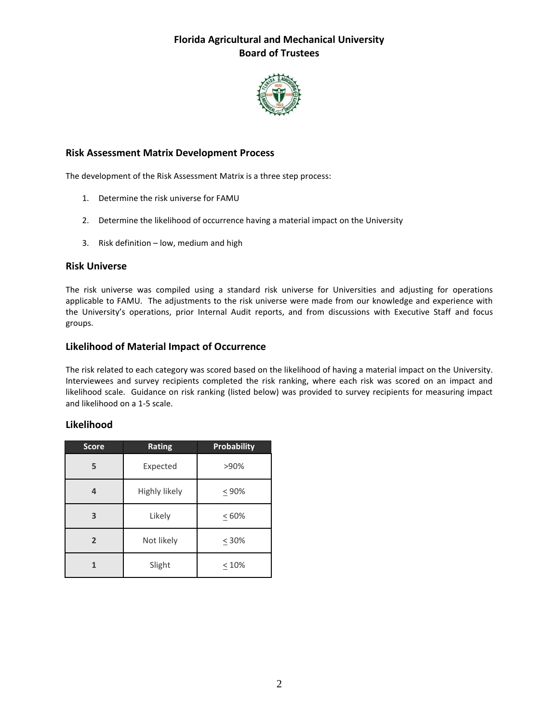

### **Risk Assessment Matrix Development Process**

The development of the Risk Assessment Matrix is a three step process:

- 1. Determine the risk universe for FAMU
- 2. Determine the likelihood of occurrence having a material impact on the University
- 3. Risk definition low, medium and high

#### **Risk Universe**

The risk universe was compiled using a standard risk universe for Universities and adjusting for operations applicable to FAMU. The adjustments to the risk universe were made from our knowledge and experience with the University's operations, prior Internal Audit reports, and from discussions with Executive Staff and focus groups.

### **Likelihood of Material Impact of Occurrence**

The risk related to each category was scored based on the likelihood of having a material impact on the University. Interviewees and survey recipients completed the risk ranking, where each risk was scored on an impact and likelihood scale. Guidance on risk ranking (listed below) was provided to survey recipients for measuring impact and likelihood on a 1-5 scale.

### **Likelihood**

| <b>Score</b>   | Rating                       | <b>Probability</b> |
|----------------|------------------------------|--------------------|
| 5              | Expected                     | >90%               |
| 4              | Highly likely<br>$\leq 90\%$ |                    |
| 3              | Likely                       | $\leq 60\%$        |
| $\overline{2}$ | Not likely                   | $\leq 30\%$        |
|                | Slight                       | $\leq 10\%$        |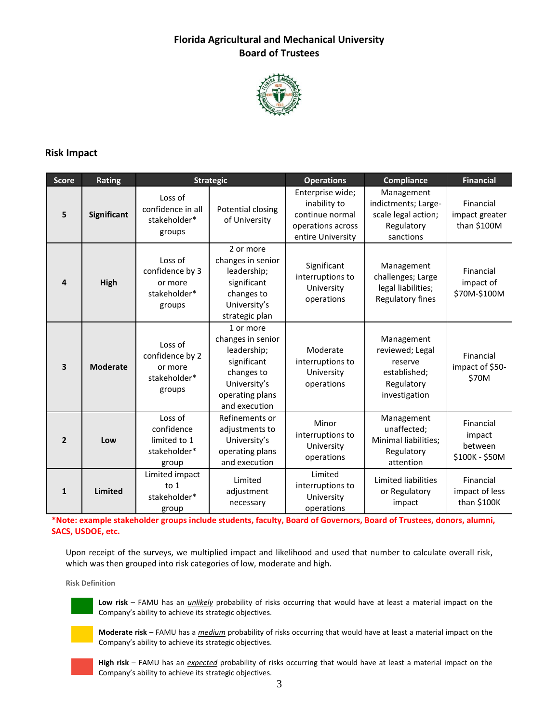

### **Risk Impact**

| <b>Score</b>   | <b>Rating</b>   | <b>Strategic</b>                                                |                                                                                                                                | <b>Operations</b>                                                                             | <b>Compliance</b>                                                                       | <b>Financial</b>                                 |
|----------------|-----------------|-----------------------------------------------------------------|--------------------------------------------------------------------------------------------------------------------------------|-----------------------------------------------------------------------------------------------|-----------------------------------------------------------------------------------------|--------------------------------------------------|
| 5              | Significant     | Loss of<br>confidence in all<br>stakeholder*<br>groups          | Potential closing<br>of University                                                                                             | Enterprise wide;<br>inability to<br>continue normal<br>operations across<br>entire University | Management<br>indictments; Large-<br>scale legal action;<br>Regulatory<br>sanctions     | Financial<br>impact greater<br>than \$100M       |
| 4              | High            | Loss of<br>confidence by 3<br>or more<br>stakeholder*<br>groups | 2 or more<br>changes in senior<br>leadership;<br>significant<br>changes to<br>University's<br>strategic plan                   | Significant<br>interruptions to<br>University<br>operations                                   | Management<br>challenges; Large<br>legal liabilities;<br>Regulatory fines               | Financial<br>impact of<br>\$70M-\$100M           |
| 3              | <b>Moderate</b> | Loss of<br>confidence by 2<br>or more<br>stakeholder*<br>groups | 1 or more<br>changes in senior<br>leadership;<br>significant<br>changes to<br>University's<br>operating plans<br>and execution | Moderate<br>interruptions to<br>University<br>operations                                      | Management<br>reviewed; Legal<br>reserve<br>established;<br>Regulatory<br>investigation | Financial<br>impact of \$50-<br>\$70M            |
| $\overline{2}$ | Low             | Loss of<br>confidence<br>limited to 1<br>stakeholder*<br>group  | Refinements or<br>adjustments to<br>University's<br>operating plans<br>and execution                                           | Minor<br>interruptions to<br>University<br>operations                                         | Management<br>unaffected;<br>Minimal liabilities;<br>Regulatory<br>attention            | Financial<br>impact<br>between<br>\$100K - \$50M |
| 1              | <b>Limited</b>  | Limited impact<br>to 1<br>stakeholder*<br>group                 | Limited<br>adjustment<br>necessary                                                                                             | Limited<br>interruptions to<br>University<br>operations                                       | Limited liabilities<br>or Regulatory<br>impact                                          | Financial<br>impact of less<br>than \$100K       |

**\*Note: example stakeholder groups include students, faculty, Board of Governors, Board of Trustees, donors, alumni, SACS, USDOE, etc.**

Upon receipt of the surveys, we multiplied impact and likelihood and used that number to calculate overall risk, which was then grouped into risk categories of low, moderate and high.

**Risk Definition**



**Low risk** – FAMU has an *unlikely* probability of risks occurring that would have at least a material impact on the Company's ability to achieve its strategic objectives.



**Moderate risk** – FAMU has a *medium* probability of risks occurring that would have at least a material impact on the Company's ability to achieve its strategic objectives.



**High risk** – FAMU has an *expected* probability of risks occurring that would have at least a material impact on the Company's ability to achieve its strategic objectives.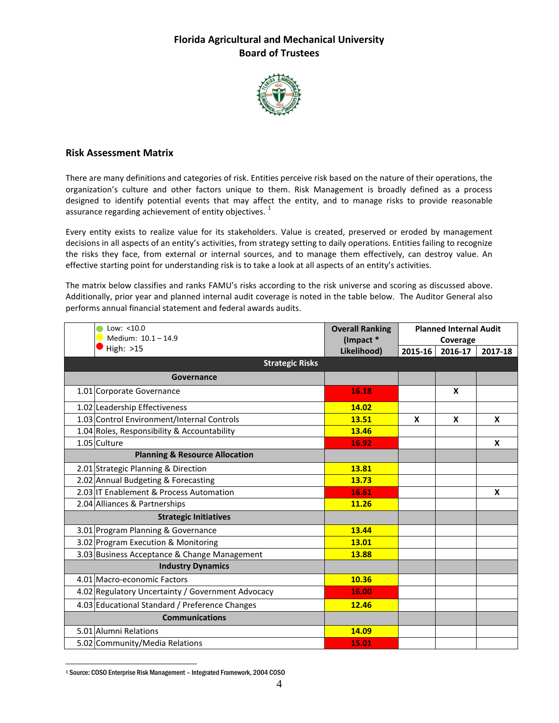

#### **Risk Assessment Matrix**

There are many definitions and categories of risk. Entities perceive risk based on the nature of their operations, the organization's culture and other factors unique to them. Risk Management is broadly defined as a process designed to identify potential events that may affect the entity, and to manage risks to provide reasonable assurance regarding achievement of entity objectives.<sup>1</sup>

Every entity exists to realize value for its stakeholders. Value is created, preserved or eroded by management decisions in all aspects of an entity's activities, from strategy setting to daily operations. Entities failing to recognize the risks they face, from external or internal sources, and to manage them effectively, can destroy value. An effective starting point for understanding risk is to take a look at all aspects of an entity's activities.

The matrix below classifies and ranks FAMU's risks according to the risk universe and scoring as discussed above. Additionally, prior year and planned internal audit coverage is noted in the table below. The Auditor General also performs annual financial statement and federal awards audits.

| Low: $< 10.0$<br>Medium: 10.1 - 14.9              | <b>Overall Ranking</b><br>(Impact * | <b>Planned Internal Audit</b><br>Coverage |         |         |
|---------------------------------------------------|-------------------------------------|-------------------------------------------|---------|---------|
| High: >15                                         | Likelihood)                         | 2015-16                                   | 2016-17 | 2017-18 |
| <b>Strategic Risks</b>                            |                                     |                                           |         |         |
| Governance                                        |                                     |                                           |         |         |
| 1.01 Corporate Governance                         | 16.18                               |                                           | X       |         |
| 1.02 Leadership Effectiveness                     | 14.02                               |                                           |         |         |
| 1.03 Control Environment/Internal Controls        | 13.51                               | X                                         | X       | X       |
| 1.04 Roles, Responsibility & Accountability       | 13.46                               |                                           |         |         |
| 1.05 Culture                                      | 16.92                               |                                           |         | X       |
| <b>Planning &amp; Resource Allocation</b>         |                                     |                                           |         |         |
| 2.01 Strategic Planning & Direction               | 13.81                               |                                           |         |         |
| 2.02 Annual Budgeting & Forecasting               | 13.73                               |                                           |         |         |
| 2.03 IT Enablement & Process Automation           | 16.61                               |                                           |         | X       |
| 2.04 Alliances & Partnerships                     | 11.26                               |                                           |         |         |
| <b>Strategic Initiatives</b>                      |                                     |                                           |         |         |
| 3.01 Program Planning & Governance                | 13.44                               |                                           |         |         |
| 3.02 Program Execution & Monitoring               | 13.01                               |                                           |         |         |
| 3.03 Business Acceptance & Change Management      | 13.88                               |                                           |         |         |
| <b>Industry Dynamics</b>                          |                                     |                                           |         |         |
| 4.01 Macro-economic Factors                       | 10.36                               |                                           |         |         |
| 4.02 Regulatory Uncertainty / Government Advocacy | 16.00                               |                                           |         |         |
| 4.03 Educational Standard / Preference Changes    | 12.46                               |                                           |         |         |
| <b>Communications</b>                             |                                     |                                           |         |         |
| 5.01 Alumni Relations                             | 14.09                               |                                           |         |         |
| 5.02 Community/Media Relations                    | 15.01                               |                                           |         |         |

 $\overline{a}$ <sup>1</sup> Source: COSO Enterprise Risk Management – Integrated Framework, 2004 COSO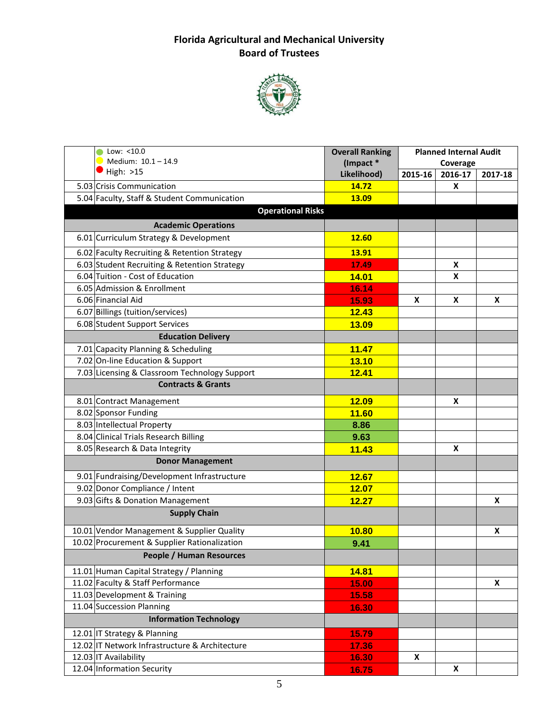

| Low: <10.0<br>Medium: 10.1-14.9                | <b>Overall Ranking</b><br>(Impact * | <b>Planned Internal Audit</b><br>Coverage |         |         |
|------------------------------------------------|-------------------------------------|-------------------------------------------|---------|---------|
| High: $>15$                                    | Likelihood)                         | 2015-16                                   | 2016-17 | 2017-18 |
| 5.03 Crisis Communication                      | 14.72                               |                                           | X       |         |
| 5.04 Faculty, Staff & Student Communication    | 13.09                               |                                           |         |         |
| <b>Operational Risks</b>                       |                                     |                                           |         |         |
| <b>Academic Operations</b>                     |                                     |                                           |         |         |
| 6.01 Curriculum Strategy & Development         | 12.60                               |                                           |         |         |
| 6.02 Faculty Recruiting & Retention Strategy   | 13.91                               |                                           |         |         |
| 6.03 Student Recruiting & Retention Strategy   | 17.49                               |                                           | X       |         |
| 6.04 Tuition - Cost of Education               | 14.01                               |                                           | X       |         |
| 6.05 Admission & Enrollment                    | 16.14                               |                                           |         |         |
| 6.06 Financial Aid                             | 15.93                               | X                                         | X       | X       |
| 6.07 Billings (tuition/services)               | 12.43                               |                                           |         |         |
| 6.08 Student Support Services                  | 13.09                               |                                           |         |         |
| <b>Education Delivery</b>                      |                                     |                                           |         |         |
| 7.01 Capacity Planning & Scheduling            | 11.47                               |                                           |         |         |
| 7.02 On-line Education & Support               | 13.10                               |                                           |         |         |
| 7.03 Licensing & Classroom Technology Support  | 12.41                               |                                           |         |         |
| <b>Contracts &amp; Grants</b>                  |                                     |                                           |         |         |
| 8.01 Contract Management                       | <b>12.09</b>                        |                                           | X       |         |
| 8.02 Sponsor Funding                           | 11.60                               |                                           |         |         |
| 8.03 Intellectual Property                     | 8.86                                |                                           |         |         |
| 8.04 Clinical Trials Research Billing          | 9.63                                |                                           |         |         |
| 8.05 Research & Data Integrity                 | 11.43                               |                                           | X       |         |
| <b>Donor Management</b>                        |                                     |                                           |         |         |
| 9.01 Fundraising/Development Infrastructure    | 12.67                               |                                           |         |         |
| 9.02 Donor Compliance / Intent                 | 12.07                               |                                           |         |         |
| 9.03 Gifts & Donation Management               | 12.27                               |                                           |         | X       |
| <b>Supply Chain</b>                            |                                     |                                           |         |         |
| 10.01 Vendor Management & Supplier Quality     | 10.80                               |                                           |         | X       |
| 10.02 Procurement & Supplier Rationalization   | 9.41                                |                                           |         |         |
| <b>People / Human Resources</b>                |                                     |                                           |         |         |
| 11.01 Human Capital Strategy / Planning        | 14.81                               |                                           |         |         |
| 11.02 Faculty & Staff Performance              | 15.00                               |                                           |         | X       |
| 11.03 Development & Training                   | 15.58                               |                                           |         |         |
| 11.04 Succession Planning                      | 16.30                               |                                           |         |         |
| <b>Information Technology</b>                  |                                     |                                           |         |         |
| 12.01 IT Strategy & Planning                   | 15.79                               |                                           |         |         |
| 12.02 IT Network Infrastructure & Architecture | 17.36                               |                                           |         |         |
| 12.03 IT Availability                          | 16.30                               | X                                         |         |         |
| 12.04 Information Security                     | 16.75                               |                                           | X       |         |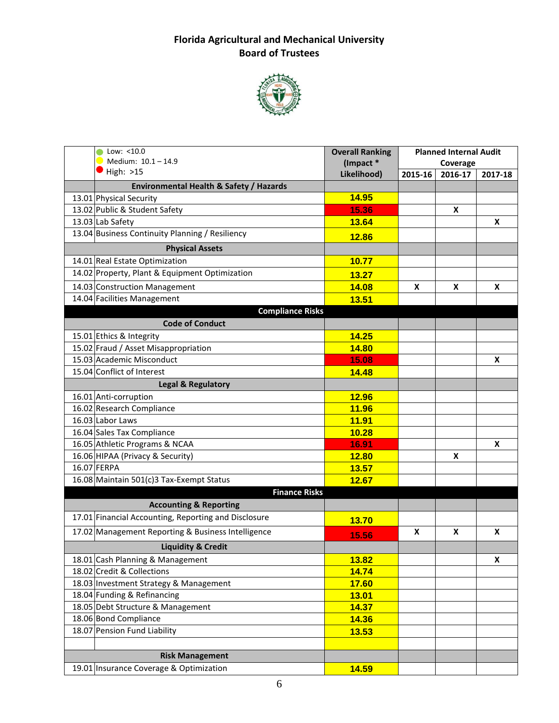

| Low: $<$ 10.0<br>Medium: 10.1-14.9                   | <b>Overall Ranking</b><br>(Impact * | <b>Planned Internal Audit</b><br>Coverage |         |         |
|------------------------------------------------------|-------------------------------------|-------------------------------------------|---------|---------|
| High: >15                                            | Likelihood)                         | 2015-16                                   | 2016-17 | 2017-18 |
| Environmental Health & Safety / Hazards              |                                     |                                           |         |         |
| 13.01 Physical Security                              | 14.95                               |                                           |         |         |
| 13.02 Public & Student Safety                        | 15.36                               |                                           | X       |         |
| 13.03 Lab Safety                                     | 13.64                               |                                           |         | X       |
| 13.04 Business Continuity Planning / Resiliency      | 12.86                               |                                           |         |         |
| <b>Physical Assets</b>                               |                                     |                                           |         |         |
| 14.01 Real Estate Optimization                       | 10.77                               |                                           |         |         |
| 14.02 Property, Plant & Equipment Optimization       | 13.27                               |                                           |         |         |
| 14.03 Construction Management                        | 14.08                               | X                                         | X       | X       |
| 14.04 Facilities Management                          | 13.51                               |                                           |         |         |
| <b>Compliance Risks</b>                              |                                     |                                           |         |         |
| <b>Code of Conduct</b>                               |                                     |                                           |         |         |
| 15.01 Ethics & Integrity                             | 14.25                               |                                           |         |         |
| 15.02 Fraud / Asset Misappropriation                 | 14.80                               |                                           |         |         |
| 15.03 Academic Misconduct                            | 15.08                               |                                           |         | X       |
| 15.04 Conflict of Interest                           | 14.48                               |                                           |         |         |
| <b>Legal &amp; Regulatory</b>                        |                                     |                                           |         |         |
| 16.01 Anti-corruption                                | 12.96                               |                                           |         |         |
| 16.02 Research Compliance                            | 11.96                               |                                           |         |         |
| 16.03 Labor Laws                                     | <b>11.91</b>                        |                                           |         |         |
| 16.04 Sales Tax Compliance                           | 10.28                               |                                           |         |         |
| 16.05 Athletic Programs & NCAA                       | 16.91                               |                                           |         | X       |
| 16.06 HIPAA (Privacy & Security)                     | 12.80                               |                                           | X       |         |
| 16.07 FERPA                                          | 13.57                               |                                           |         |         |
| 16.08 Maintain 501(c)3 Tax-Exempt Status             | 12.67                               |                                           |         |         |
| <b>Finance Risks</b>                                 |                                     |                                           |         |         |
| <b>Accounting &amp; Reporting</b>                    |                                     |                                           |         |         |
| 17.01 Financial Accounting, Reporting and Disclosure | 13.70                               |                                           |         |         |
| 17.02 Management Reporting & Business Intelligence   | 15.56                               | X                                         | X       | X       |
| <b>Liquidity &amp; Credit</b>                        |                                     |                                           |         |         |
| 18.01 Cash Planning & Management                     | 13.82                               |                                           |         | X       |
| 18.02 Credit & Collections                           | 14.74                               |                                           |         |         |
| 18.03 Investment Strategy & Management               | 17.60                               |                                           |         |         |
| 18.04 Funding & Refinancing                          | 13.01                               |                                           |         |         |
| 18.05 Debt Structure & Management                    | 14.37                               |                                           |         |         |
| 18.06 Bond Compliance                                | 14.36                               |                                           |         |         |
| 18.07 Pension Fund Liability                         | 13.53                               |                                           |         |         |
|                                                      |                                     |                                           |         |         |
| <b>Risk Management</b>                               |                                     |                                           |         |         |
| 19.01 Insurance Coverage & Optimization              | 14.59                               |                                           |         |         |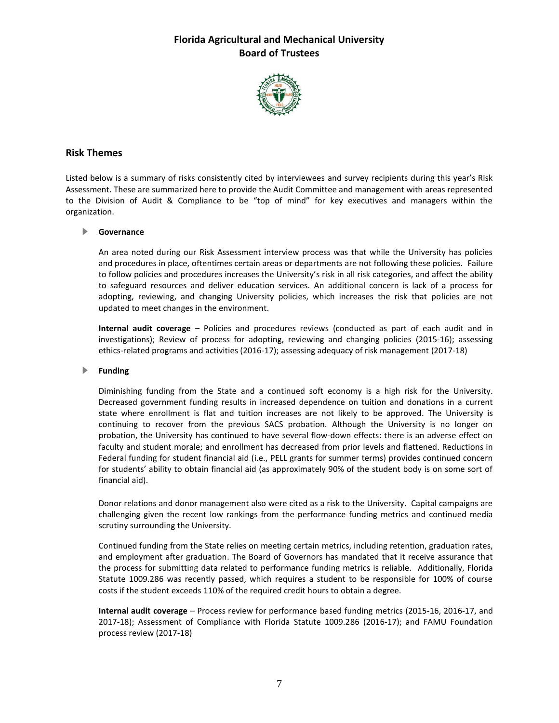

### **Risk Themes**

Listed below is a summary of risks consistently cited by interviewees and survey recipients during this year's Risk Assessment. These are summarized here to provide the Audit Committee and management with areas represented to the Division of Audit & Compliance to be "top of mind" for key executives and managers within the organization.

#### **Governance**

An area noted during our Risk Assessment interview process was that while the University has policies and procedures in place, oftentimes certain areas or departments are not following these policies. Failure to follow policies and procedures increases the University's risk in all risk categories, and affect the ability to safeguard resources and deliver education services. An additional concern is lack of a process for adopting, reviewing, and changing University policies, which increases the risk that policies are not updated to meet changes in the environment.

**Internal audit coverage** – Policies and procedures reviews (conducted as part of each audit and in investigations); Review of process for adopting, reviewing and changing policies (2015-16); assessing ethics-related programs and activities (2016-17); assessing adequacy of risk management (2017-18)

#### **Funding**

Diminishing funding from the State and a continued soft economy is a high risk for the University. Decreased government funding results in increased dependence on tuition and donations in a current state where enrollment is flat and tuition increases are not likely to be approved. The University is continuing to recover from the previous SACS probation. Although the University is no longer on probation, the University has continued to have several flow-down effects: there is an adverse effect on faculty and student morale; and enrollment has decreased from prior levels and flattened. Reductions in Federal funding for student financial aid (i.e., PELL grants for summer terms) provides continued concern for students' ability to obtain financial aid (as approximately 90% of the student body is on some sort of financial aid).

Donor relations and donor management also were cited as a risk to the University. Capital campaigns are challenging given the recent low rankings from the performance funding metrics and continued media scrutiny surrounding the University.

Continued funding from the State relies on meeting certain metrics, including retention, graduation rates, and employment after graduation. The Board of Governors has mandated that it receive assurance that the process for submitting data related to performance funding metrics is reliable. Additionally, Florida Statute 1009.286 was recently passed, which requires a student to be responsible for 100% of course costs if the student exceeds 110% of the required credit hours to obtain a degree.

**Internal audit coverage** – Process review for performance based funding metrics (2015-16, 2016-17, and 2017-18); Assessment of Compliance with Florida Statute 1009.286 (2016-17); and FAMU Foundation process review (2017-18)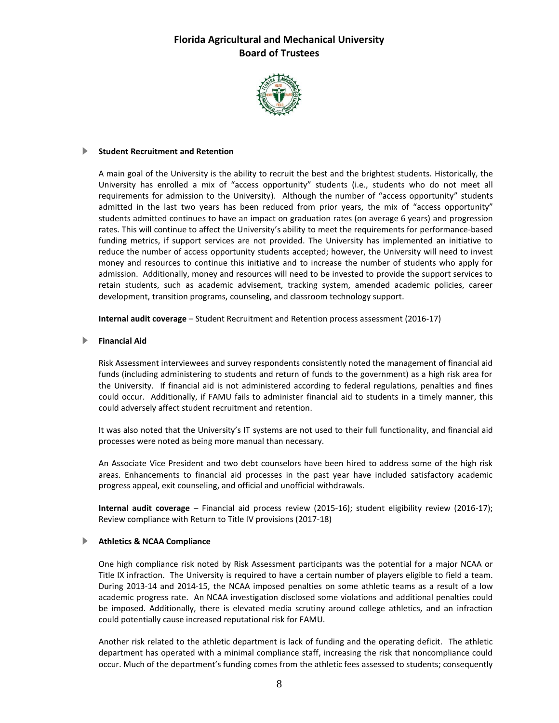

#### **Student Recruitment and Retention**

A main goal of the University is the ability to recruit the best and the brightest students. Historically, the University has enrolled a mix of "access opportunity" students (i.e., students who do not meet all requirements for admission to the University). Although the number of "access opportunity" students admitted in the last two years has been reduced from prior years, the mix of "access opportunity" students admitted continues to have an impact on graduation rates (on average 6 years) and progression rates. This will continue to affect the University's ability to meet the requirements for performance-based funding metrics, if support services are not provided. The University has implemented an initiative to reduce the number of access opportunity students accepted; however, the University will need to invest money and resources to continue this initiative and to increase the number of students who apply for admission. Additionally, money and resources will need to be invested to provide the support services to retain students, such as academic advisement, tracking system, amended academic policies, career development, transition programs, counseling, and classroom technology support.

**Internal audit coverage** – Student Recruitment and Retention process assessment (2016-17)

#### **Financial Aid**

Risk Assessment interviewees and survey respondents consistently noted the management of financial aid funds (including administering to students and return of funds to the government) as a high risk area for the University. If financial aid is not administered according to federal regulations, penalties and fines could occur. Additionally, if FAMU fails to administer financial aid to students in a timely manner, this could adversely affect student recruitment and retention.

It was also noted that the University's IT systems are not used to their full functionality, and financial aid processes were noted as being more manual than necessary.

An Associate Vice President and two debt counselors have been hired to address some of the high risk areas. Enhancements to financial aid processes in the past year have included satisfactory academic progress appeal, exit counseling, and official and unofficial withdrawals.

**Internal audit coverage** – Financial aid process review (2015-16); student eligibility review (2016-17); Review compliance with Return to Title IV provisions (2017-18)

#### **Athletics & NCAA Compliance**

One high compliance risk noted by Risk Assessment participants was the potential for a major NCAA or Title IX infraction. The University is required to have a certain number of players eligible to field a team. During 2013-14 and 2014-15, the NCAA imposed penalties on some athletic teams as a result of a low academic progress rate. An NCAA investigation disclosed some violations and additional penalties could be imposed. Additionally, there is elevated media scrutiny around college athletics, and an infraction could potentially cause increased reputational risk for FAMU.

Another risk related to the athletic department is lack of funding and the operating deficit. The athletic department has operated with a minimal compliance staff, increasing the risk that noncompliance could occur. Much of the department's funding comes from the athletic fees assessed to students; consequently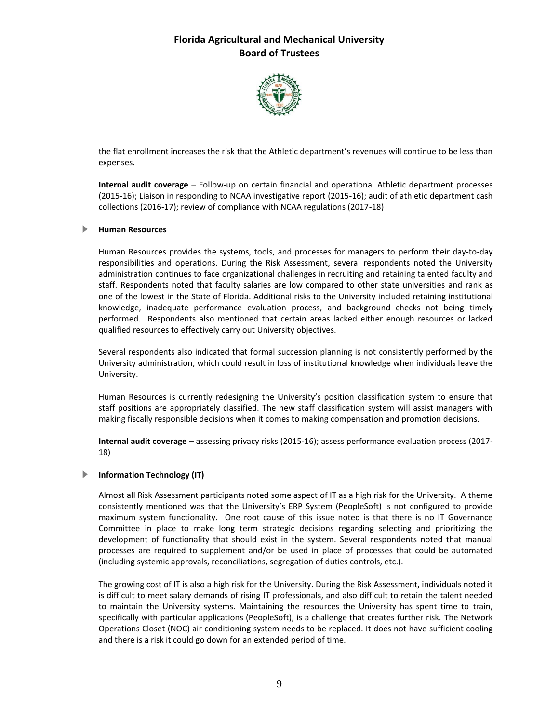

the flat enrollment increases the risk that the Athletic department's revenues will continue to be less than expenses.

**Internal audit coverage** – Follow-up on certain financial and operational Athletic department processes (2015-16); Liaison in responding to NCAA investigative report (2015-16); audit of athletic department cash collections (2016-17); review of compliance with NCAA regulations (2017-18)

#### **Human Resources**

Human Resources provides the systems, tools, and processes for managers to perform their day-to-day responsibilities and operations. During the Risk Assessment, several respondents noted the University administration continues to face organizational challenges in recruiting and retaining talented faculty and staff. Respondents noted that faculty salaries are low compared to other state universities and rank as one of the lowest in the State of Florida. Additional risks to the University included retaining institutional knowledge, inadequate performance evaluation process, and background checks not being timely performed. Respondents also mentioned that certain areas lacked either enough resources or lacked qualified resources to effectively carry out University objectives.

Several respondents also indicated that formal succession planning is not consistently performed by the University administration, which could result in loss of institutional knowledge when individuals leave the University.

Human Resources is currently redesigning the University's position classification system to ensure that staff positions are appropriately classified. The new staff classification system will assist managers with making fiscally responsible decisions when it comes to making compensation and promotion decisions.

**Internal audit coverage** – assessing privacy risks (2015-16); assess performance evaluation process (2017- 18)

#### **Information Technology (IT)**

Almost all Risk Assessment participants noted some aspect of IT as a high risk for the University. A theme consistently mentioned was that the University's ERP System (PeopleSoft) is not configured to provide maximum system functionality. One root cause of this issue noted is that there is no IT Governance Committee in place to make long term strategic decisions regarding selecting and prioritizing the development of functionality that should exist in the system. Several respondents noted that manual processes are required to supplement and/or be used in place of processes that could be automated (including systemic approvals, reconciliations, segregation of duties controls, etc.).

The growing cost of IT is also a high risk for the University. During the Risk Assessment, individuals noted it is difficult to meet salary demands of rising IT professionals, and also difficult to retain the talent needed to maintain the University systems. Maintaining the resources the University has spent time to train, specifically with particular applications (PeopleSoft), is a challenge that creates further risk. The Network Operations Closet (NOC) air conditioning system needs to be replaced. It does not have sufficient cooling and there is a risk it could go down for an extended period of time.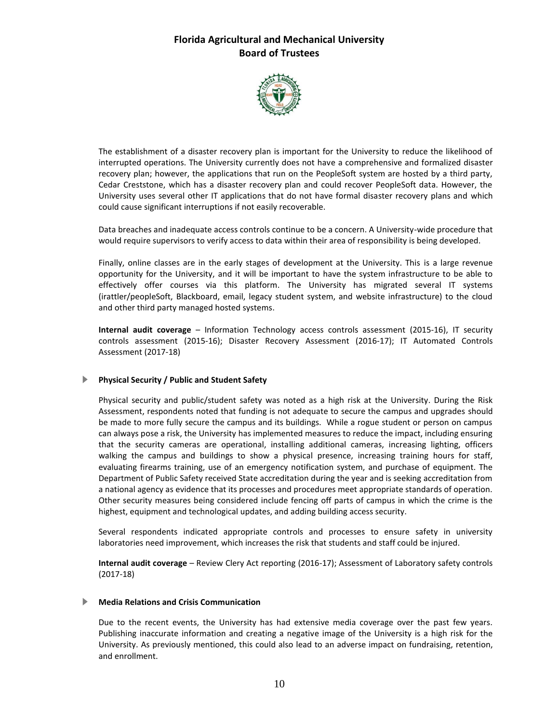

The establishment of a disaster recovery plan is important for the University to reduce the likelihood of interrupted operations. The University currently does not have a comprehensive and formalized disaster recovery plan; however, the applications that run on the PeopleSoft system are hosted by a third party, Cedar Creststone, which has a disaster recovery plan and could recover PeopleSoft data. However, the University uses several other IT applications that do not have formal disaster recovery plans and which could cause significant interruptions if not easily recoverable.

Data breaches and inadequate access controls continue to be a concern. A University-wide procedure that would require supervisors to verify access to data within their area of responsibility is being developed.

Finally, online classes are in the early stages of development at the University. This is a large revenue opportunity for the University, and it will be important to have the system infrastructure to be able to effectively offer courses via this platform. The University has migrated several IT systems (irattler/peopleSoft, Blackboard, email, legacy student system, and website infrastructure) to the cloud and other third party managed hosted systems.

**Internal audit coverage** – Information Technology access controls assessment (2015-16), IT security controls assessment (2015-16); Disaster Recovery Assessment (2016-17); IT Automated Controls Assessment (2017-18)

#### **Physical Security / Public and Student Safety**

Physical security and public/student safety was noted as a high risk at the University. During the Risk Assessment, respondents noted that funding is not adequate to secure the campus and upgrades should be made to more fully secure the campus and its buildings. While a rogue student or person on campus can always pose a risk, the University has implemented measures to reduce the impact, including ensuring that the security cameras are operational, installing additional cameras, increasing lighting, officers walking the campus and buildings to show a physical presence, increasing training hours for staff, evaluating firearms training, use of an emergency notification system, and purchase of equipment. The Department of Public Safety received State accreditation during the year and is seeking accreditation from a national agency as evidence that its processes and procedures meet appropriate standards of operation. Other security measures being considered include fencing off parts of campus in which the crime is the highest, equipment and technological updates, and adding building access security.

Several respondents indicated appropriate controls and processes to ensure safety in university laboratories need improvement, which increases the risk that students and staff could be injured.

**Internal audit coverage** – Review Clery Act reporting (2016-17); Assessment of Laboratory safety controls (2017-18)

### **Media Relations and Crisis Communication**

Due to the recent events, the University has had extensive media coverage over the past few years. Publishing inaccurate information and creating a negative image of the University is a high risk for the University. As previously mentioned, this could also lead to an adverse impact on fundraising, retention, and enrollment.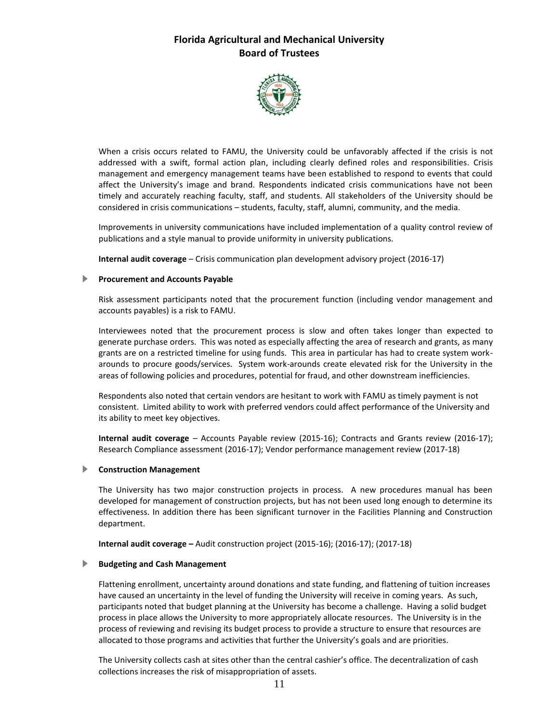

When a crisis occurs related to FAMU, the University could be unfavorably affected if the crisis is not addressed with a swift, formal action plan, including clearly defined roles and responsibilities. Crisis management and emergency management teams have been established to respond to events that could affect the University's image and brand. Respondents indicated crisis communications have not been timely and accurately reaching faculty, staff, and students. All stakeholders of the University should be considered in crisis communications – students, faculty, staff, alumni, community, and the media.

Improvements in university communications have included implementation of a quality control review of publications and a style manual to provide uniformity in university publications.

**Internal audit coverage** – Crisis communication plan development advisory project (2016-17)

#### **Procurement and Accounts Payable**

Risk assessment participants noted that the procurement function (including vendor management and accounts payables) is a risk to FAMU.

Interviewees noted that the procurement process is slow and often takes longer than expected to generate purchase orders. This was noted as especially affecting the area of research and grants, as many grants are on a restricted timeline for using funds. This area in particular has had to create system workarounds to procure goods/services. System work-arounds create elevated risk for the University in the areas of following policies and procedures, potential for fraud, and other downstream inefficiencies.

Respondents also noted that certain vendors are hesitant to work with FAMU as timely payment is not consistent. Limited ability to work with preferred vendors could affect performance of the University and its ability to meet key objectives.

**Internal audit coverage** – Accounts Payable review (2015-16); Contracts and Grants review (2016-17); Research Compliance assessment (2016-17); Vendor performance management review (2017-18)

#### **Construction Management**

The University has two major construction projects in process. A new procedures manual has been developed for management of construction projects, but has not been used long enough to determine its effectiveness. In addition there has been significant turnover in the Facilities Planning and Construction department.

**Internal audit coverage –** Audit construction project (2015-16); (2016-17); (2017-18)

#### **Budgeting and Cash Management**

Flattening enrollment, uncertainty around donations and state funding, and flattening of tuition increases have caused an uncertainty in the level of funding the University will receive in coming years. As such, participants noted that budget planning at the University has become a challenge. Having a solid budget process in place allows the University to more appropriately allocate resources. The University is in the process of reviewing and revising its budget process to provide a structure to ensure that resources are allocated to those programs and activities that further the University's goals and are priorities.

The University collects cash at sites other than the central cashier's office. The decentralization of cash collections increases the risk of misappropriation of assets.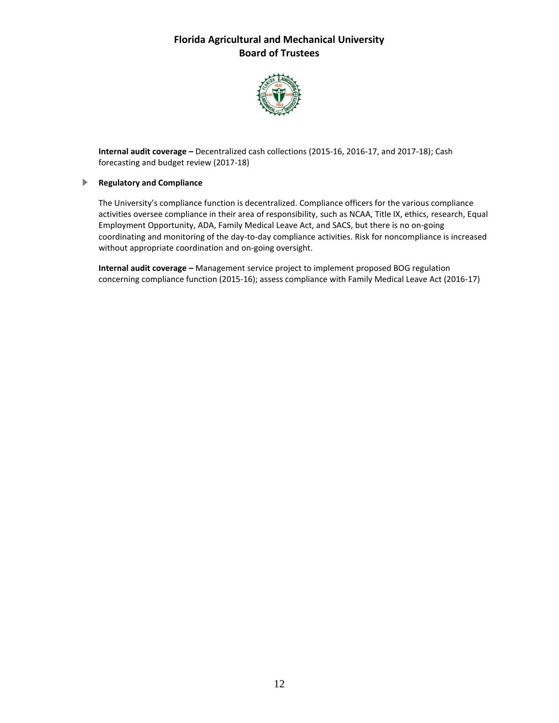

**Internal audit coverage –** Decentralized cash collections (2015-16, 2016-17, and 2017-18); Cash forecasting and budget review (2017-18)

#### **Regulatory and Compliance**

The University's compliance function is decentralized. Compliance officers for the various compliance activities oversee compliance in their area of responsibility, such as NCAA, Title IX, ethics, research, Equal Employment Opportunity, ADA, Family Medical Leave Act, and SACS, but there is no on-going coordinating and monitoring of the day-to-day compliance activities. Risk for noncompliance is increased without appropriate coordination and on-going oversight.

**Internal audit coverage –** Management service project to implement proposed BOG regulation concerning compliance function (2015-16); assess compliance with Family Medical Leave Act (2016-17)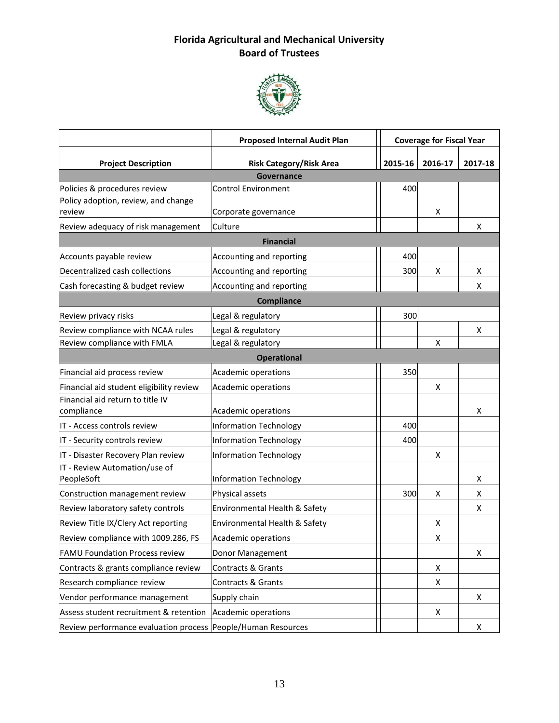

|                                                              | <b>Proposed Internal Audit Plan</b> | <b>Coverage for Fiscal Year</b> |         |         |
|--------------------------------------------------------------|-------------------------------------|---------------------------------|---------|---------|
| <b>Project Description</b>                                   | <b>Risk Category/Risk Area</b>      | 2015-16                         | 2016-17 | 2017-18 |
|                                                              | Governance                          |                                 |         |         |
| Policies & procedures review                                 | <b>Control Environment</b>          | 400                             |         |         |
| Policy adoption, review, and change                          |                                     |                                 |         |         |
| review                                                       | Corporate governance                |                                 | x       |         |
| Review adequacy of risk management<br>Culture                |                                     |                                 |         | x       |
|                                                              | <b>Financial</b>                    |                                 |         |         |
| Accounts payable review                                      | Accounting and reporting            | 400                             |         |         |
| Decentralized cash collections                               | Accounting and reporting            | 300                             | X       | X       |
| Cash forecasting & budget review                             | Accounting and reporting            |                                 |         | X       |
|                                                              | <b>Compliance</b>                   |                                 |         |         |
| Review privacy risks                                         | Legal & regulatory                  | 300                             |         |         |
| Review compliance with NCAA rules                            | Legal & regulatory                  |                                 |         | X       |
| Review compliance with FMLA                                  | Legal & regulatory                  |                                 | X       |         |
|                                                              | <b>Operational</b>                  |                                 |         |         |
| Financial aid process review                                 | Academic operations                 | 350                             |         |         |
| Financial aid student eligibility review                     | Academic operations                 |                                 | х       |         |
| Financial aid return to title IV                             |                                     |                                 |         |         |
| compliance                                                   | Academic operations                 |                                 |         | x       |
| IT - Access controls review                                  | <b>Information Technology</b>       | 400                             |         |         |
| IT - Security controls review                                | <b>Information Technology</b>       | 400                             |         |         |
| IT - Disaster Recovery Plan review                           | <b>Information Technology</b>       |                                 | X       |         |
| IT - Review Automation/use of                                |                                     |                                 |         |         |
| PeopleSoft                                                   | <b>Information Technology</b>       |                                 |         | X.      |
| Construction management review                               | Physical assets                     | 300                             | х       | X       |
| Review laboratory safety controls                            | Environmental Health & Safety       |                                 |         | X       |
| Review Title IX/Clery Act reporting                          | Environmental Health & Safety       |                                 | х       |         |
| Review compliance with 1009.286, FS                          | <b>Academic operations</b>          |                                 | х       |         |
| <b>FAMU Foundation Process review</b>                        | Donor Management                    |                                 |         | X       |
| Contracts & grants compliance review                         | Contracts & Grants                  |                                 | x       |         |
| Research compliance review                                   | Contracts & Grants                  |                                 | x       |         |
| Vendor performance management                                | Supply chain                        |                                 |         | X       |
| Assess student recruitment & retention                       | Academic operations                 |                                 | Χ       |         |
| Review performance evaluation process People/Human Resources |                                     |                                 |         | X       |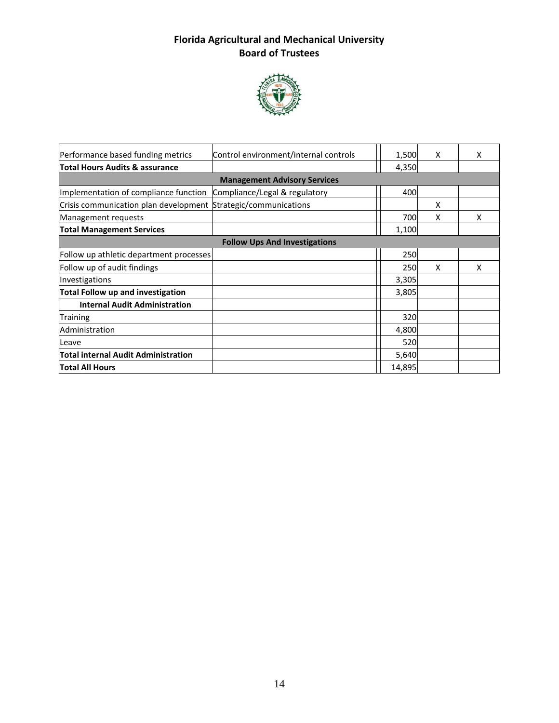

| Performance based funding metrics                              | Control environment/internal controls | 1,500  | X | x |
|----------------------------------------------------------------|---------------------------------------|--------|---|---|
| <b>Total Hours Audits &amp; assurance</b>                      |                                       | 4,350  |   |   |
|                                                                | <b>Management Advisory Services</b>   |        |   |   |
| Implementation of compliance function                          | Compliance/Legal & regulatory         | 400    |   |   |
| Crisis communication plan development Strategic/communications |                                       |        | х |   |
| Management requests                                            |                                       | 700    | x | X |
| <b>Total Management Services</b>                               |                                       | 1,100  |   |   |
|                                                                | <b>Follow Ups And Investigations</b>  |        |   |   |
| Follow up athletic department processes                        |                                       | 250    |   |   |
| Follow up of audit findings                                    |                                       | 250    | X | X |
| Investigations                                                 |                                       | 3,305  |   |   |
| <b>Total Follow up and investigation</b>                       |                                       | 3,805  |   |   |
| <b>Internal Audit Administration</b>                           |                                       |        |   |   |
| <b>Training</b>                                                |                                       | 320    |   |   |
| Administration                                                 |                                       | 4,800  |   |   |
| Leave                                                          |                                       | 520    |   |   |
| <b>Total internal Audit Administration</b>                     |                                       | 5,640  |   |   |
| Total All Hours                                                |                                       | 14,895 |   |   |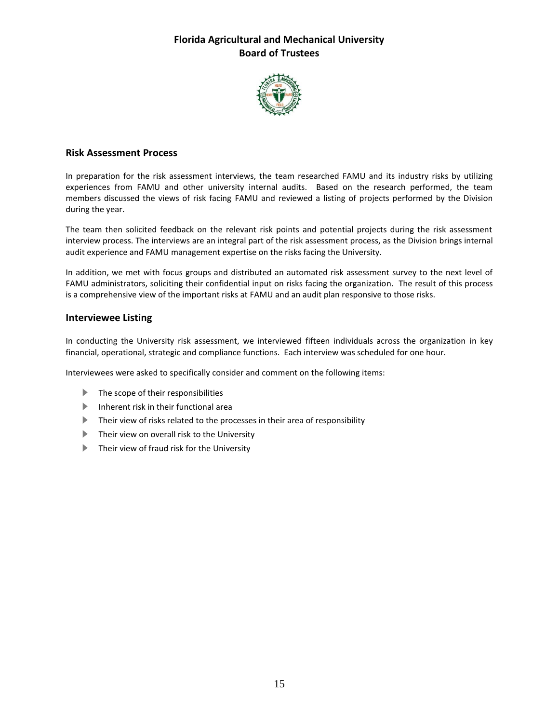

#### **Risk Assessment Process**

In preparation for the risk assessment interviews, the team researched FAMU and its industry risks by utilizing experiences from FAMU and other university internal audits. Based on the research performed, the team members discussed the views of risk facing FAMU and reviewed a listing of projects performed by the Division during the year.

The team then solicited feedback on the relevant risk points and potential projects during the risk assessment interview process. The interviews are an integral part of the risk assessment process, as the Division brings internal audit experience and FAMU management expertise on the risks facing the University.

In addition, we met with focus groups and distributed an automated risk assessment survey to the next level of FAMU administrators, soliciting their confidential input on risks facing the organization. The result of this process is a comprehensive view of the important risks at FAMU and an audit plan responsive to those risks.

#### **Interviewee Listing**

In conducting the University risk assessment, we interviewed fifteen individuals across the organization in key financial, operational, strategic and compliance functions. Each interview was scheduled for one hour.

Interviewees were asked to specifically consider and comment on the following items:

- $\blacktriangleright$  The scope of their responsibilities
- Inherent risk in their functional area
- Their view of risks related to the processes in their area of responsibility
- **Their view on overall risk to the University**
- **Their view of fraud risk for the University**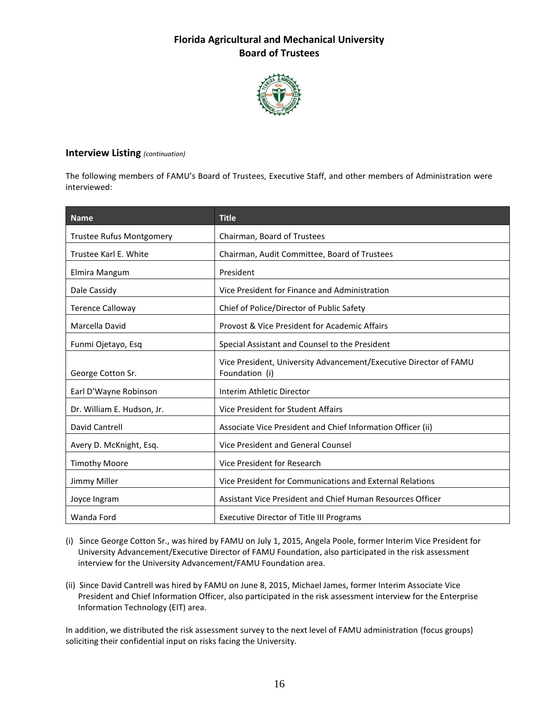

#### **Interview Listing** *(continuation)*

The following members of FAMU's Board of Trustees, Executive Staff, and other members of Administration were interviewed:

| <b>Name</b>                | <b>Title</b>                                                                        |
|----------------------------|-------------------------------------------------------------------------------------|
| Trustee Rufus Montgomery   | Chairman, Board of Trustees                                                         |
| Trustee Karl E. White      | Chairman, Audit Committee, Board of Trustees                                        |
| Elmira Mangum              | President                                                                           |
| Dale Cassidy               | Vice President for Finance and Administration                                       |
| <b>Terence Calloway</b>    | Chief of Police/Director of Public Safety                                           |
| Marcella David             | Provost & Vice President for Academic Affairs                                       |
| Funmi Ojetayo, Esq         | Special Assistant and Counsel to the President                                      |
| George Cotton Sr.          | Vice President, University Advancement/Executive Director of FAMU<br>Foundation (i) |
| Earl D'Wayne Robinson      | Interim Athletic Director                                                           |
| Dr. William E. Hudson, Jr. | Vice President for Student Affairs                                                  |
| David Cantrell             | Associate Vice President and Chief Information Officer (ii)                         |
| Avery D. McKnight, Esq.    | Vice President and General Counsel                                                  |
| <b>Timothy Moore</b>       | Vice President for Research                                                         |
| Jimmy Miller               | Vice President for Communications and External Relations                            |
| Joyce Ingram               | Assistant Vice President and Chief Human Resources Officer                          |
| Wanda Ford                 | <b>Executive Director of Title III Programs</b>                                     |

(i) Since George Cotton Sr., was hired by FAMU on July 1, 2015, Angela Poole, former Interim Vice President for University Advancement/Executive Director of FAMU Foundation, also participated in the risk assessment interview for the University Advancement/FAMU Foundation area.

(ii) Since David Cantrell was hired by FAMU on June 8, 2015, Michael James, former Interim Associate Vice President and Chief Information Officer, also participated in the risk assessment interview for the Enterprise Information Technology (EIT) area.

In addition, we distributed the risk assessment survey to the next level of FAMU administration (focus groups) soliciting their confidential input on risks facing the University.